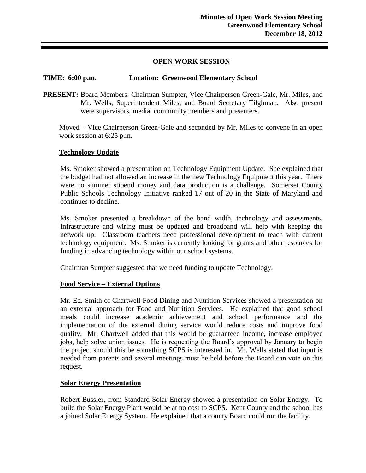## **OPEN WORK SESSION**

# **TIME: 6:00 p.m**. **Location: Greenwood Elementary School**

**PRESENT:** Board Members: Chairman Sumpter, Vice Chairperson Green-Gale, Mr. Miles, and Mr. Wells; Superintendent Miles; and Board Secretary Tilghman. Also present were supervisors, media, community members and presenters.

Moved – Vice Chairperson Green-Gale and seconded by Mr. Miles to convene in an open work session at 6:25 p.m.

# **Technology Update**

Ms. Smoker showed a presentation on Technology Equipment Update. She explained that the budget had not allowed an increase in the new Technology Equipment this year. There were no summer stipend money and data production is a challenge. Somerset County Public Schools Technology Initiative ranked 17 out of 20 in the State of Maryland and continues to decline.

Ms. Smoker presented a breakdown of the band width, technology and assessments. Infrastructure and wiring must be updated and broadband will help with keeping the network up. Classroom teachers need professional development to teach with current technology equipment. Ms. Smoker is currently looking for grants and other resources for funding in advancing technology within our school systems.

Chairman Sumpter suggested that we need funding to update Technology.

# **Food Service – External Options**

Mr. Ed. Smith of Chartwell Food Dining and Nutrition Services showed a presentation on an external approach for Food and Nutrition Services. He explained that good school meals could increase academic achievement and school performance and the implementation of the external dining service would reduce costs and improve food quality. Mr. Chartwell added that this would be guaranteed income, increase employee jobs, help solve union issues. He is requesting the Board's approval by January to begin the project should this be something SCPS is interested in. Mr. Wells stated that input is needed from parents and several meetings must be held before the Board can vote on this request.

# **Solar Energy Presentation**

Robert Bussler, from Standard Solar Energy showed a presentation on Solar Energy. To build the Solar Energy Plant would be at no cost to SCPS. Kent County and the school has a joined Solar Energy System. He explained that a county Board could run the facility.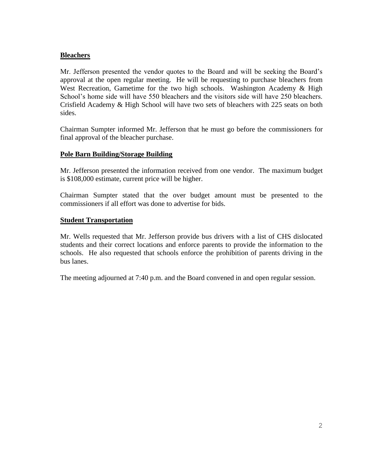# **Bleachers**

Mr. Jefferson presented the vendor quotes to the Board and will be seeking the Board's approval at the open regular meeting. He will be requesting to purchase bleachers from West Recreation, Gametime for the two high schools. Washington Academy & High School's home side will have 550 bleachers and the visitors side will have 250 bleachers. Crisfield Academy & High School will have two sets of bleachers with 225 seats on both sides.

Chairman Sumpter informed Mr. Jefferson that he must go before the commissioners for final approval of the bleacher purchase.

# **Pole Barn Building/Storage Building**

Mr. Jefferson presented the information received from one vendor. The maximum budget is \$108,000 estimate, current price will be higher.

Chairman Sumpter stated that the over budget amount must be presented to the commissioners if all effort was done to advertise for bids.

# **Student Transportation**

Mr. Wells requested that Mr. Jefferson provide bus drivers with a list of CHS dislocated students and their correct locations and enforce parents to provide the information to the schools. He also requested that schools enforce the prohibition of parents driving in the bus lanes.

The meeting adjourned at 7:40 p.m. and the Board convened in and open regular session.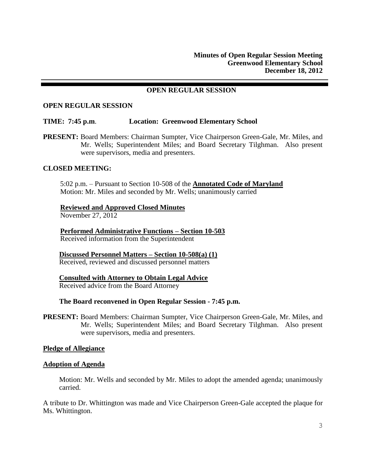## **OPEN REGULAR SESSION**

#### **OPEN REGULAR SESSION**

#### **TIME: 7:45 p.m**. **Location: Greenwood Elementary School**

**PRESENT:** Board Members: Chairman Sumpter, Vice Chairperson Green-Gale, Mr. Miles, and Mr. Wells; Superintendent Miles; and Board Secretary Tilghman. Also present were supervisors, media and presenters.

## **CLOSED MEETING:**

5:02 p.m. – Pursuant to Section 10-508 of the **Annotated Code of Maryland** Motion: Mr. Miles and seconded by Mr. Wells; unanimously carried

#### **Reviewed and Approved Closed Minutes**

November 27, 2012

**Performed Administrative Functions – Section 10-503** Received information from the Superintendent

## **Discussed Personnel Matters – Section 10-508(a) (1)**

Received, reviewed and discussed personnel matters

### **Consulted with Attorney to Obtain Legal Advice**

Received advice from the Board Attorney

#### **The Board reconvened in Open Regular Session - 7:45 p.m.**

**PRESENT:** Board Members: Chairman Sumpter, Vice Chairperson Green-Gale, Mr. Miles, and Mr. Wells; Superintendent Miles; and Board Secretary Tilghman. Also present were supervisors, media and presenters.

#### **Pledge of Allegiance**

#### **Adoption of Agenda**

Motion: Mr. Wells and seconded by Mr. Miles to adopt the amended agenda; unanimously carried.

A tribute to Dr. Whittington was made and Vice Chairperson Green-Gale accepted the plaque for Ms. Whittington.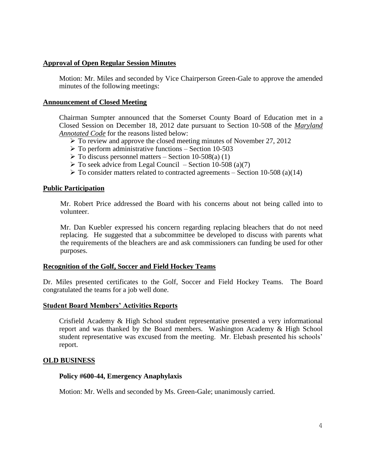## **Approval of Open Regular Session Minutes**

Motion: Mr. Miles and seconded by Vice Chairperson Green-Gale to approve the amended minutes of the following meetings:

### **Announcement of Closed Meeting**

Chairman Sumpter announced that the Somerset County Board of Education met in a Closed Session on December 18, 2012 date pursuant to Section 10-508 of the *Maryland Annotated Code* for the reasons listed below:

- $\triangleright$  To review and approve the closed meeting minutes of November 27, 2012
- $\triangleright$  To perform administrative functions Section 10-503
- $\triangleright$  To discuss personnel matters Section 10-508(a) (1)
- $\triangleright$  To seek advice from Legal Council Section 10-508 (a)(7)
- $\triangleright$  To consider matters related to contracted agreements Section 10-508 (a)(14)

## **Public Participation**

Mr. Robert Price addressed the Board with his concerns about not being called into to volunteer.

Mr. Dan Kuebler expressed his concern regarding replacing bleachers that do not need replacing. He suggested that a subcommittee be developed to discuss with parents what the requirements of the bleachers are and ask commissioners can funding be used for other purposes.

### **Recognition of the Golf, Soccer and Field Hockey Teams**

Dr. Miles presented certificates to the Golf, Soccer and Field Hockey Teams. The Board congratulated the teams for a job well done.

### **Student Board Members' Activities Reports**

Crisfield Academy & High School student representative presented a very informational report and was thanked by the Board members. Washington Academy & High School student representative was excused from the meeting. Mr. Elebash presented his schools' report.

### **OLD BUSINESS**

### **Policy #600-44, Emergency Anaphylaxis**

Motion: Mr. Wells and seconded by Ms. Green-Gale; unanimously carried.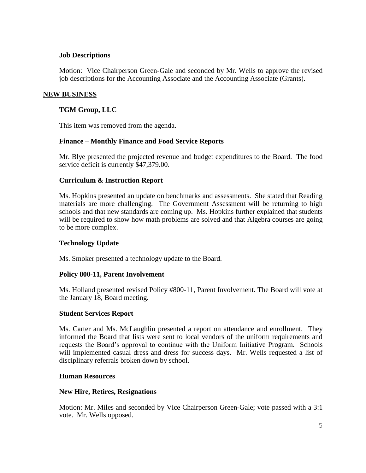# **Job Descriptions**

Motion: Vice Chairperson Green-Gale and seconded by Mr. Wells to approve the revised job descriptions for the Accounting Associate and the Accounting Associate (Grants).

# **NEW BUSINESS**

# **TGM Group, LLC**

This item was removed from the agenda.

# **Finance – Monthly Finance and Food Service Reports**

Mr. Blye presented the projected revenue and budget expenditures to the Board. The food service deficit is currently \$47,379.00.

# **Curriculum & Instruction Report**

Ms. Hopkins presented an update on benchmarks and assessments. She stated that Reading materials are more challenging. The Government Assessment will be returning to high schools and that new standards are coming up. Ms. Hopkins further explained that students will be required to show how math problems are solved and that Algebra courses are going to be more complex.

# **Technology Update**

Ms. Smoker presented a technology update to the Board.

# **Policy 800-11, Parent Involvement**

Ms. Holland presented revised Policy #800-11, Parent Involvement. The Board will vote at the January 18, Board meeting.

# **Student Services Report**

Ms. Carter and Ms. McLaughlin presented a report on attendance and enrollment. They informed the Board that lists were sent to local vendors of the uniform requirements and requests the Board's approval to continue with the Uniform Initiative Program. Schools will implemented casual dress and dress for success days. Mr. Wells requested a list of disciplinary referrals broken down by school.

# **Human Resources**

# **New Hire, Retires, Resignations**

Motion: Mr. Miles and seconded by Vice Chairperson Green-Gale; vote passed with a 3:1 vote. Mr. Wells opposed.